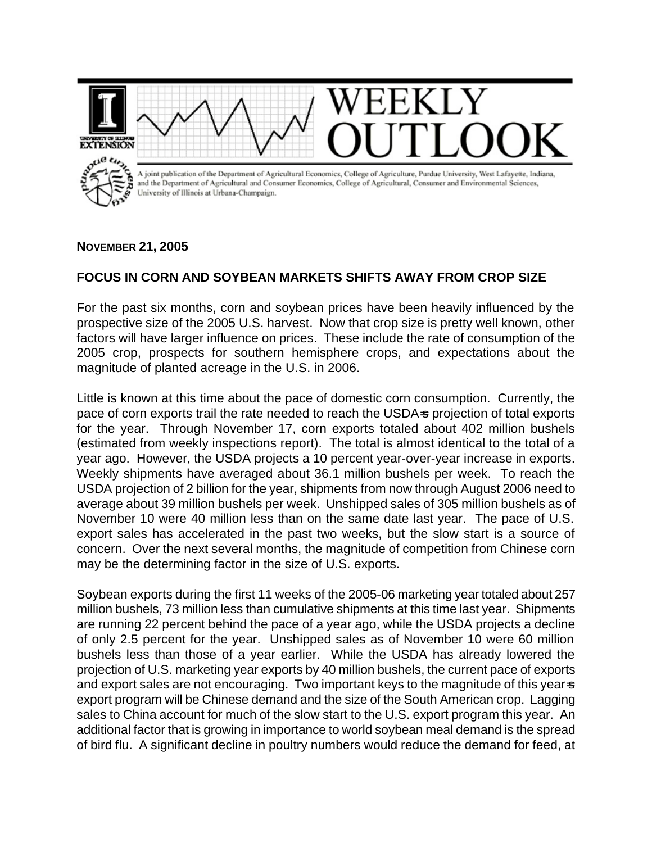

## **NOVEMBER 21, 2005**

## **FOCUS IN CORN AND SOYBEAN MARKETS SHIFTS AWAY FROM CROP SIZE**

For the past six months, corn and soybean prices have been heavily influenced by the prospective size of the 2005 U.S. harvest. Now that crop size is pretty well known, other factors will have larger influence on prices. These include the rate of consumption of the 2005 crop, prospects for southern hemisphere crops, and expectations about the magnitude of planted acreage in the U.S. in 2006.

Little is known at this time about the pace of domestic corn consumption. Currently, the pace of corn exports trail the rate needed to reach the USDA-s projection of total exports for the year. Through November 17, corn exports totaled about 402 million bushels (estimated from weekly inspections report). The total is almost identical to the total of a year ago. However, the USDA projects a 10 percent year-over-year increase in exports. Weekly shipments have averaged about 36.1 million bushels per week. To reach the USDA projection of 2 billion for the year, shipments from now through August 2006 need to average about 39 million bushels per week. Unshipped sales of 305 million bushels as of November 10 were 40 million less than on the same date last year. The pace of U.S. export sales has accelerated in the past two weeks, but the slow start is a source of concern. Over the next several months, the magnitude of competition from Chinese corn may be the determining factor in the size of U.S. exports.

Soybean exports during the first 11 weeks of the 2005-06 marketing year totaled about 257 million bushels, 73 million less than cumulative shipments at this time last year. Shipments are running 22 percent behind the pace of a year ago, while the USDA projects a decline of only 2.5 percent for the year. Unshipped sales as of November 10 were 60 million bushels less than those of a year earlier. While the USDA has already lowered the projection of U.S. marketing year exports by 40 million bushels, the current pace of exports and export sales are not encouraging. Two important keys to the magnitude of this year-s export program will be Chinese demand and the size of the South American crop. Lagging sales to China account for much of the slow start to the U.S. export program this year. An additional factor that is growing in importance to world soybean meal demand is the spread of bird flu. A significant decline in poultry numbers would reduce the demand for feed, at